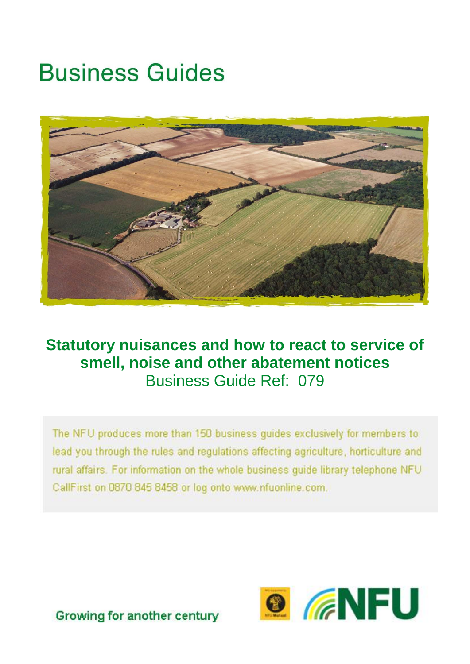# **Business Guides**



### **Statutory nuisances and how to react to service of smell, noise and other abatement notices** Business Guide Ref: 079

The NFU produces more than 150 business guides exclusively for members to lead you through the rules and regulations affecting agriculture, horticulture and rural affairs. For information on the whole business quide library telephone NFU CallFirst on 0870 845 8458 or log onto www.nfuonline.com.



Growing for another century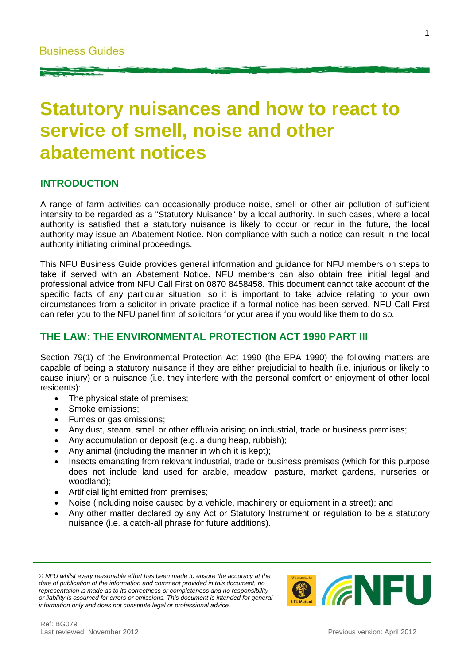## **Statutory nuisances and how to react to service of smell, noise and other abatement notices**

#### **INTRODUCTION**

A range of farm activities can occasionally produce noise, smell or other air pollution of sufficient intensity to be regarded as a "Statutory Nuisance" by a local authority. In such cases, where a local authority is satisfied that a statutory nuisance is likely to occur or recur in the future, the local authority may issue an Abatement Notice. Non-compliance with such a notice can result in the local authority initiating criminal proceedings.

This NFU Business Guide provides general information and guidance for NFU members on steps to take if served with an Abatement Notice. NFU members can also obtain free initial legal and professional advice from NFU Call First on 0870 8458458. This document cannot take account of the specific facts of any particular situation, so it is important to take advice relating to your own circumstances from a solicitor in private practice if a formal notice has been served. NFU Call First can refer you to the NFU panel firm of solicitors for your area if you would like them to do so.

#### **THE LAW: THE ENVIRONMENTAL PROTECTION ACT 1990 PART III**

Section 79(1) of the Environmental Protection Act 1990 (the EPA 1990) the following matters are capable of being a statutory nuisance if they are either prejudicial to health (i.e. injurious or likely to cause injury) or a nuisance (i.e. they interfere with the personal comfort or enjoyment of other local residents):

- The physical state of premises;
- Smoke emissions;
- Fumes or gas emissions;
- Any dust, steam, smell or other effluvia arising on industrial, trade or business premises;
- Any accumulation or deposit (e.g. a dung heap, rubbish);
- Any animal (including the manner in which it is kept);
- Insects emanating from relevant industrial, trade or business premises (which for this purpose does not include land used for arable, meadow, pasture, market gardens, nurseries or woodland);
- Artificial light emitted from premises;
- Noise (including noise caused by a vehicle, machinery or equipment in a street); and
- Any other matter declared by any Act or Statutory Instrument or regulation to be a statutory nuisance (i.e. a catch-all phrase for future additions).

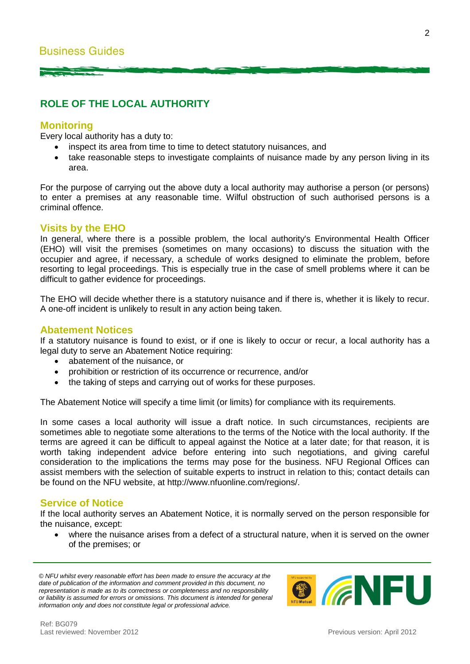#### **ROLE OF THE LOCAL AUTHORITY**

#### **Monitoring**

Every local authority has a duty to:

- inspect its area from time to time to detect statutory nuisances, and
- take reasonable steps to investigate complaints of nuisance made by any person living in its area.

For the purpose of carrying out the above duty a local authority may authorise a person (or persons) to enter a premises at any reasonable time. Wilful obstruction of such authorised persons is a criminal offence.

#### **Visits by the EHO**

In general, where there is a possible problem, the local authority's Environmental Health Officer (EHO) will visit the premises (sometimes on many occasions) to discuss the situation with the occupier and agree, if necessary, a schedule of works designed to eliminate the problem, before resorting to legal proceedings. This is especially true in the case of smell problems where it can be difficult to gather evidence for proceedings.

The EHO will decide whether there is a statutory nuisance and if there is, whether it is likely to recur. A one-off incident is unlikely to result in any action being taken.

#### **Abatement Notices**

If a statutory nuisance is found to exist, or if one is likely to occur or recur, a local authority has a legal duty to serve an Abatement Notice requiring:

- abatement of the nuisance, or
- prohibition or restriction of its occurrence or recurrence, and/or
- the taking of steps and carrying out of works for these purposes.

The Abatement Notice will specify a time limit (or limits) for compliance with its requirements.

In some cases a local authority will issue a draft notice. In such circumstances, recipients are sometimes able to negotiate some alterations to the terms of the Notice with the local authority. If the terms are agreed it can be difficult to appeal against the Notice at a later date; for that reason, it is worth taking independent advice before entering into such negotiations, and giving careful consideration to the implications the terms may pose for the business. NFU Regional Offices can assist members with the selection of suitable experts to instruct in relation to this; contact details can be found on the NFU website, at http://www.nfuonline.com/regions/.

#### **Service of Notice**

If the local authority serves an Abatement Notice, it is normally served on the person responsible for the nuisance, except:

 where the nuisance arises from a defect of a structural nature, when it is served on the owner of the premises; or

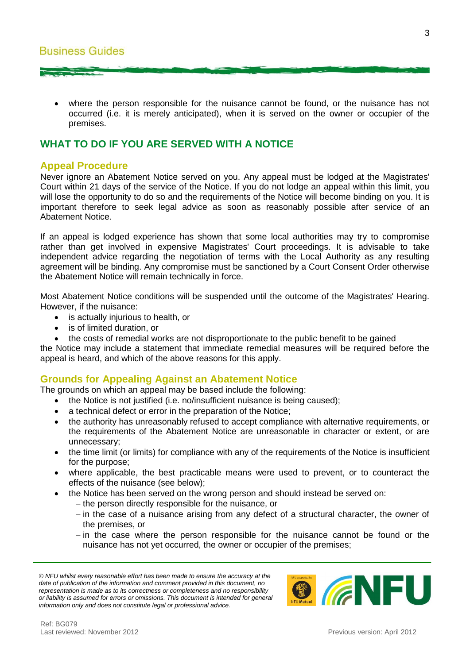where the person responsible for the nuisance cannot be found, or the nuisance has not occurred (i.e. it is merely anticipated), when it is served on the owner or occupier of the premises.

#### **WHAT TO DO IF YOU ARE SERVED WITH A NOTICE**

#### **Appeal Procedure**

Never ignore an Abatement Notice served on you. Any appeal must be lodged at the Magistrates' Court within 21 days of the service of the Notice. If you do not lodge an appeal within this limit, you will lose the opportunity to do so and the requirements of the Notice will become binding on you. It is important therefore to seek legal advice as soon as reasonably possible after service of an Abatement Notice.

If an appeal is lodged experience has shown that some local authorities may try to compromise rather than get involved in expensive Magistrates' Court proceedings. It is advisable to take independent advice regarding the negotiation of terms with the Local Authority as any resulting agreement will be binding. Any compromise must be sanctioned by a Court Consent Order otherwise the Abatement Notice will remain technically in force.

Most Abatement Notice conditions will be suspended until the outcome of the Magistrates' Hearing. However, if the nuisance:

- is actually injurious to health, or
- is of limited duration, or
- the costs of remedial works are not disproportionate to the public benefit to be gained

the Notice may include a statement that immediate remedial measures will be required before the appeal is heard, and which of the above reasons for this apply.

#### **Grounds for Appealing Against an Abatement Notice**

The grounds on which an appeal may be based include the following:

- the Notice is not justified (i.e. no/insufficient nuisance is being caused);
- a technical defect or error in the preparation of the Notice;
- the authority has unreasonably refused to accept compliance with alternative requirements, or the requirements of the Abatement Notice are unreasonable in character or extent, or are unnecessary;
- the time limit (or limits) for compliance with any of the requirements of the Notice is insufficient for the purpose;
- where applicable, the best practicable means were used to prevent, or to counteract the effects of the nuisance (see below);
	- the Notice has been served on the wrong person and should instead be served on:
		- the person directly responsible for the nuisance, or
		- $-$  in the case of a nuisance arising from any defect of a structural character, the owner of the premises, or
		- $-$  in the case where the person responsible for the nuisance cannot be found or the nuisance has not yet occurred, the owner or occupier of the premises;

*<sup>©</sup> NFU whilst every reasonable effort has been made to ensure the accuracy at the date of publication of the information and comment provided in this document, no representation is made as to its correctness or completeness and no responsibility or liability is assumed for errors or omissions. This document is intended for general information only and does not constitute legal or professional advice.*

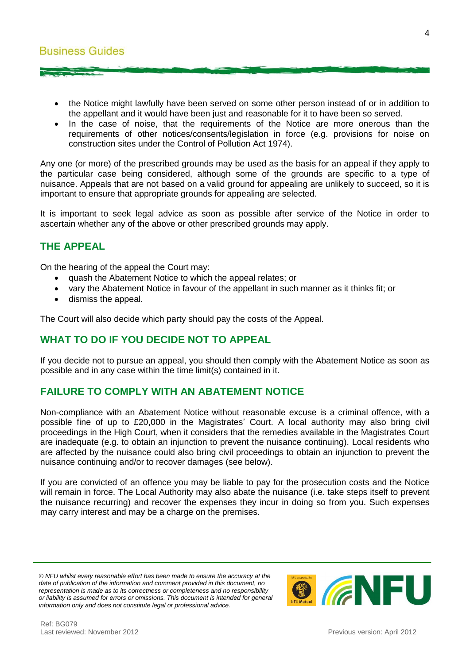- the Notice might lawfully have been served on some other person instead of or in addition to the appellant and it would have been just and reasonable for it to have been so served.
- In the case of noise, that the requirements of the Notice are more onerous than the requirements of other notices/consents/legislation in force (e.g. provisions for noise on construction sites under the Control of Pollution Act 1974).

Any one (or more) of the prescribed grounds may be used as the basis for an appeal if they apply to the particular case being considered, although some of the grounds are specific to a type of nuisance. Appeals that are not based on a valid ground for appealing are unlikely to succeed, so it is important to ensure that appropriate grounds for appealing are selected.

It is important to seek legal advice as soon as possible after service of the Notice in order to ascertain whether any of the above or other prescribed grounds may apply.

#### **THE APPEAL**

On the hearing of the appeal the Court may:

- quash the Abatement Notice to which the appeal relates; or
- vary the Abatement Notice in favour of the appellant in such manner as it thinks fit; or
- dismiss the appeal.

The Court will also decide which party should pay the costs of the Appeal.

#### **WHAT TO DO IF YOU DECIDE NOT TO APPEAL**

If you decide not to pursue an appeal, you should then comply with the Abatement Notice as soon as possible and in any case within the time limit(s) contained in it.

#### **FAILURE TO COMPLY WITH AN ABATEMENT NOTICE**

Non-compliance with an Abatement Notice without reasonable excuse is a criminal offence, with a possible fine of up to £20,000 in the Magistrates' Court. A local authority may also bring civil proceedings in the High Court, when it considers that the remedies available in the Magistrates Court are inadequate (e.g. to obtain an injunction to prevent the nuisance continuing). Local residents who are affected by the nuisance could also bring civil proceedings to obtain an injunction to prevent the nuisance continuing and/or to recover damages (see below).

If you are convicted of an offence you may be liable to pay for the prosecution costs and the Notice will remain in force. The Local Authority may also abate the nuisance (i.e. take steps itself to prevent the nuisance recurring) and recover the expenses they incur in doing so from you. Such expenses may carry interest and may be a charge on the premises.

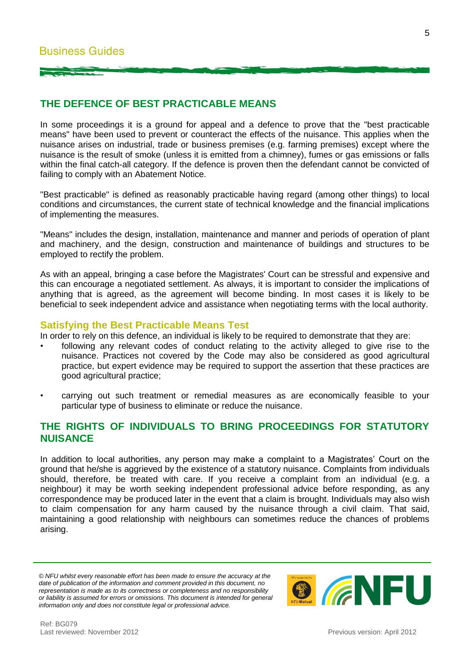#### **THE DEFENCE OF BEST PRACTICABLE MEANS**

In some proceedings it is a ground for appeal and a defence to prove that the "best practicable means" have been used to prevent or counteract the effects of the nuisance. This applies when the nuisance arises on industrial, trade or business premises (e.g. farming premises) except where the nuisance is the result of smoke (unless it is emitted from a chimney), fumes or gas emissions or falls within the final catch-all category. If the defence is proven then the defendant cannot be convicted of failing to comply with an Abatement Notice.

"Best practicable" is defined as reasonably practicable having regard (among other things) to local conditions and circumstances, the current state of technical knowledge and the financial implications of implementing the measures.

"Means" includes the design, installation, maintenance and manner and periods of operation of plant and machinery, and the design, construction and maintenance of buildings and structures to be employed to rectify the problem.

As with an appeal, bringing a case before the Magistrates' Court can be stressful and expensive and this can encourage a negotiated settlement. As always, it is important to consider the implications of anything that is agreed, as the agreement will become binding. In most cases it is likely to be beneficial to seek independent advice and assistance when negotiating terms with the local authority.

#### **Satisfying the Best Practicable Means Test**

In order to rely on this defence, an individual is likely to be required to demonstrate that they are:

- following any relevant codes of conduct relating to the activity alleged to give rise to the nuisance. Practices not covered by the Code may also be considered as good agricultural practice, but expert evidence may be required to support the assertion that these practices are good agricultural practice;
- carrying out such treatment or remedial measures as are economically feasible to your particular type of business to eliminate or reduce the nuisance.

#### **THE RIGHTS OF INDIVIDUALS TO BRING PROCEEDINGS FOR STATUTORY NUISANCE**

In addition to local authorities, any person may make a complaint to a Magistrates' Court on the ground that he/she is aggrieved by the existence of a statutory nuisance. Complaints from individuals should, therefore, be treated with care. If you receive a complaint from an individual (e.g. a neighbour) it may be worth seeking independent professional advice before responding, as any correspondence may be produced later in the event that a claim is brought. Individuals may also wish to claim compensation for any harm caused by the nuisance through a civil claim. That said, maintaining a good relationship with neighbours can sometimes reduce the chances of problems arising.